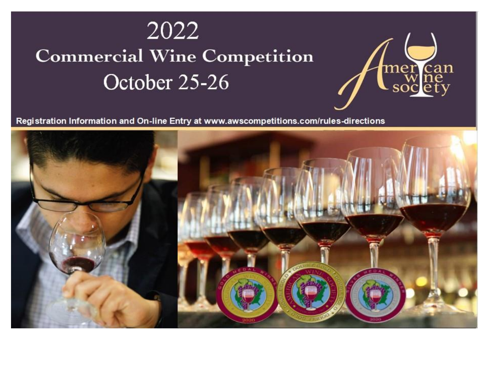# 2022 **Commercial Wine Competition** October 25-26



Registration Information and On-line Entry at www.awscompetitions.com/rules-directions

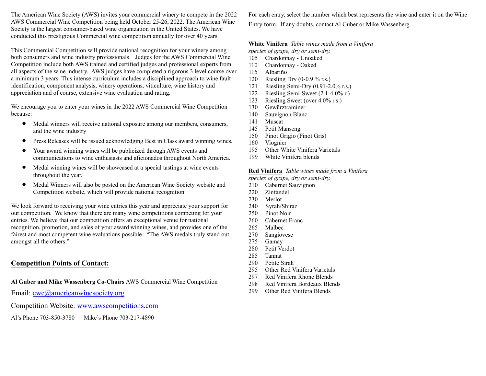The American Wine Society (AWS) invites your commercial winery to compete in the 2022 AWS Commercial Wine Competition being held October 25-26, 2022. The American Wine Society is the largest consumer-based wine organization in the United States. We have conducted this prestigious Commercial wine competition annually for over 40 years.

This Commercial Competition will provide national recognition for your winery among both consumers and wine industry professionals. Judges for the AWS Commercial Wine Competition include both AWS trained and certified judges and professional experts from all aspects of the wine industry. AWS judges have completed a rigorous 3 level course over a minimum 3 years. This intense curriculum includes a disciplined approach to wine fault identification, component analysis, winery operations, viticulture, wine history and appreciation and of course, extensive wine evaluation and rating.

We encourage you to enter your wines in the 2022 AWS Commercial Wine Competition because:

- Medal winners will receive national exposure among our members, consumers, and the wine industry
- Press Releases will be issued acknowledging Best in Class award winning wines.
- Your award winning wines will be publicized through AWS events and communications to wine enthusiasts and aficionados throughout North America.
- Medal winning wines will be showcased at a special tastings at wine events throughout the year.
- Medal Winners will also be posted on the American Wine Society website and Competition website, which will provide national recognition.

We look forward to receiving your wine entries this year and appreciate your support for our competition. We know that there are many wine competitions competing for your entries. We believe that our competition offers an exceptional venue for national recognition, promotion, and sales of your award winning wines, and provides one of the fairest and most competent wine evaluations possible. "The AWS medals truly stand out amongst all the others."

### **Competition Points of Contact:**

**Al Guber and Mike Wassenberg Co-Chairs** AWS Commercial Wine Competition

Email: [cwc@americanwinesociety.org](mailto:cwc@americanwinesociety.org)

Competition Website: [www.awscompetitions.com](file:///C:/Alfiles/2018%20AWS%20CWC/Fliers%20and%20Brochures/www.awscompetitions.com)

Al's Phone 703-850-3780 Mike's Phone 703-217-4890

For each entry, select the number which best represents the wine and enter it on the Wine Entry form. If any doubts, contact Al Guber or Mike Wassenberg

#### **White Vinifera** *Table wines made from a Vinifera*

*species of grape, dry or semi-dry.*

- 105 Chardonnay Unoaked
- 110 Chardonnay Oaked
- 115 Albariño
- 120 Riesling Dry (0-0.9 % r.s.)
- 121 Riesling Semi-Dry (0.91-2.0% r.s.)
- 122 Riesling Semi-Sweet (2.1-4.0% r.)
- 123 Riesling Sweet (over 4.0% r.s.)
- 130 Gewürztraminer
- 140 Sauvignon Blanc
- 141 Muscat
- 145 Petit Manseng
- 150 Pinot Grigio (Pinot Gris)
- 160 Viognier
- 195 Other White Vinifera Varietals
- 199 White Vinifera blends

## **Red Vinifera** *Table wines made from a Vinifera*

- *species of grape, dry or semi-dry.*
- 210 Cabernet Sauvignon
- 220 Zinfandel
- 230 Merlot
- 240 Syrah/Shiraz
- 250 Pinot Noir
- 260 Cabernet Franc
- 265 Malbec
- 270 Sangiovese
- 275 Gamay
- 280 Petit Verdot
- 285 Tannat
- 290 Petite Sirah
- 295 Other Red Vinifera Varietals
- 297 Red Vinifera Rhone Blends
- 298 Red Vinifera Bordeaux Blends
- 299 Other Red Vinifera Blends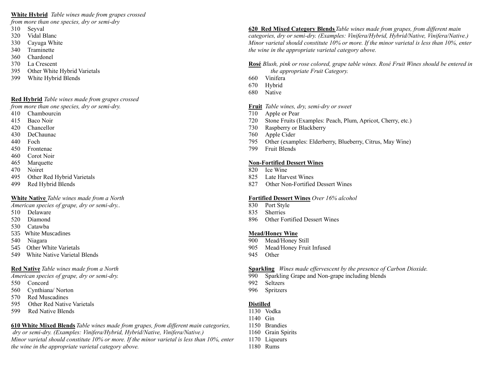#### **White Hybrid** *Table wines made from grapes crossed*

*from more than one species, dry or semi-dry*

- 310 Seyval
- 320 Vidal Blanc
- 330 Cayuga White
- 340 Traminette
- 360 Chardonel
- 370 La Crescent
- 395 Other White Hybrid Varietals
- 399 White Hybrid Blends

#### **Red Hybrid** *Table wines made from grapes crossed*

*from more than one species, dry or semi-dry.*

- 410 Chambourcin
- 415 Baco Noir
- 420 Chancellor
- 430 DeChaunac
- 440 Foch
- 450 Frontenac
- 460 Corot Noir
- 465 Marquette
- 470 Noiret
- 495 Other Red Hybrid Varietals
- 499 Red Hybrid Blends

#### **White Native** *Table wines made from a North*

*American species of grape, dry or semi-dry..*

- 510 Delaware
- 520 Diamond
- 530 Catawba
- 535 White Muscadines
- 540 Niagara
- 545 Other White Varietals
- 549 White Native Varietal Blends

#### **Red Native***Table wines made from a North*

*American species of grape, dry or semi-dry.* 

- 550 Concord
- 560 Cynthiana/ Norton
- 570 Red Muscadines
- 595 Other Red Native Varietals
- 599 Red Native Blends

**610 White Mixed Blends***Table wines made from grapes, from different main categories, dry or semi-dry. (Examples: Vinifera/Hybrid, Hybrid/Native, Vinifera/Native.) Minor varietal should constitute 10% or more. If the minor varietal is less than 10%, enter the wine in the appropriate varietal category above.*

**620 Red Mixed Category Blends***Table wines made from grapes, from different main categories, dry or semi-dry. (Examples: Vinifera/Hybrid, Hybrid/Native, Vinifera/Native.) Minor varietal should constitute 10% or more. If the minor varietal is less than 10%, enter the wine in the appropriate varietal category above.*

**Rosé** *Blush, pink or rose colored, grape table wines. Rosé Fruit Wines should be entered in the appropriate Fruit Category.*

- 660 Vinifera
- 670 Hybrid
- 680 Native

**Fruit** *Table wines, dry, semi-dry or sweet*

- 710 Apple or Pear
- 720 Stone Fruits (Examples: Peach, Plum, Apricot, Cherry, etc.)
- 730 Raspberry or Blackberry
- 760 Apple Cider
- 795 Other (examples: Elderberry, Blueberry, Citrus, May Wine)
- 799 Fruit Blends

#### **Non-Fortified Dessert Wines**

- 820 Ice Wine
- 825 Late Harvest Wines
- 827 Other Non-Fortified Dessert Wines

#### **Fortified Dessert Wines** *Over 16% alcohol*

- 830 Port Style
- 835 Sherries
- 896 Other Fortified Dessert Wines

#### **Mead/Honey Wine**

- 900 Mead/Honey Still
- 905 Mead/Honey Fruit Infused
- 945 Other

#### **Sparkling** *Wines made effervescent by the presence of Carbon Dioxide.*

- 990 Sparkling Grape and Non-grape including blends
- 992 Seltzers
- 996 Spritzers

#### **Distilled**

- 1130 Vodka
- 1140 Gin
- 1150 Brandies
- 1160 Grain Spirits
- 1170 Liqueurs
- 1180 Rums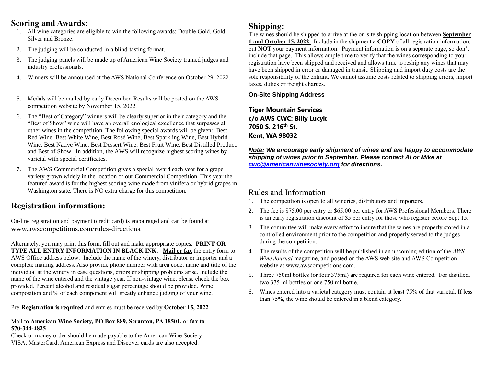## **Scoring and Awards:**

- 1. All wine categories are eligible to win the following awards: Double Gold, Gold, Silver and Bronze.
- 2. The judging will be conducted in a blind-tasting format.
- 3. The judging panels will be made up of American Wine Society trained judges and industry professionals.
- 4. Winners will be announced at the AWS National Conference on October 29, 2022.
- 5. Medals will be mailed by early December. Results will be posted on the AWS competition website by November 15, 2022.
- 6. The "Best of Category" winners will be clearly superior in their category and the "Best of Show" wine will have an overall enological excellence that surpasses all other wines in the competition. The following special awards will be given: Best Red Wine, Best White Wine, Best Rosé Wine, Best Sparkling Wine, Best Hybrid Wine, Best Native Wine, Best Dessert Wine, Best Fruit Wine, Best Distilled Product, and Best of Show. In addition, the AWS will recognize highest scoring wines by varietal with special certificates.
- 7. The AWS Commercial Competition gives a special award each year for a grape variety grown widely in the location of our Commercial Competition. This year the featured award is for the highest scoring wine made from vinifera or hybrid grapes in Washington state. There is NO extra charge for this competition.

# **Registration information:**

On-line registration and payment (credit card) is encouraged and can be found at [www.awscompetitions.com/rules-directions](http://www.awscompetitions.com/rules-directions).

Alternately, you may print this form, fill out and make appropriate copies. **PRINT OR TYPE ALL ENTRY INFORMATION IN BLACK INK. Mail or fax** the entry form to AWS Office address below. Include the name of the winery, distributor or importer and a complete mailing address. Also provide phone number with area code, name and title of the individual at the winery in case questions, errors or shipping problems arise. Include the name of the wine entered and the vintage year. If non-vintage wine, please check the box provided. Percent alcohol and residual sugar percentage should be provided. Wine composition and % of each component will greatly enhance judging of your wine.

Pre-**Registration is required** and entries must be received by **October 15, 2022**

#### Mail to **American Wine Society, PO Box 889, Scranton, PA 18501,** or **fax to 570-344-4825**

Check or money order should be made payable to the American Wine Society. VISA, MasterCard, American Express and Discover cards are also accepted.

## **Shipping:**

The wines should be shipped to arrive at the on-site shipping location between **September 1 and October 15, 2022**. Include in the shipment a **COPY** of all registration information, but **NOT** your payment information. Payment information is on a separate page, so don't include that page. This allows ample time to verify that the wines corresponding to your registration have been shipped and received and allows time to reship any wines that may have been shipped in error or damaged in transit. Shipping and import duty costs are the sole responsibility of the entrant. We cannot assume costs related to shipping errors, import taxes, duties or freight charges.

**On-Site Shipping Address**

**Tiger Mountain Services c/o AWS CWC: Billy Lucyk 7050 S. 216th St. Kent, WA 98032**

*Note: We encourage early shipment of wines and are happy to accommodate shipping of wines prior to September. Please contact Al or Mike at [cwc@americanwinesociety.org](file:///C:/Alfiles/17%20AWS%20CWC/cwc@americanwinesociety.org) for directions.*

# Rules and Information

- 1. The competition is open to all wineries, distributors and importers.
- 2. The fee is \$75.00 per entry or \$65.00 per entry for AWS Professional Members. There is an early registration discount of \$5 per entry for those who register before Sept 15.
- 3. The committee will make every effort to insure that the wines are properly stored in a controlled environment prior to the competition and properly served to the judges during the competition.
- 4. The results of the competition will be published in an upcoming edition of the *AWS Wine Journal* magazine, and posted on the AWS web site and AWS Competition website at www.awscompetitions.com.
- 5. Three 750ml bottles (or four 375ml) are required for each wine entered. For distilled, two 375 ml bottles or one 750 ml bottle.
- 6. Wines entered into a varietal category must contain at least 75% of that varietal. If less than 75%, the wine should be entered in a blend category.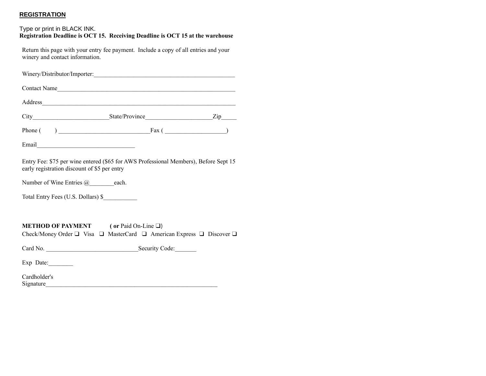### **REGISTRATION**

#### Type or print in BLACK INK. **Registration Deadline is OCT 15. Receiving Deadline is OCT 15 at the warehouse**

Return this page with your entry fee payment. Include a copy of all entries and your winery and contact information.

| Winery/Distributor/Importer:                                                                                                                         |  |  |  |  |  |
|------------------------------------------------------------------------------------------------------------------------------------------------------|--|--|--|--|--|
| Contact Name                                                                                                                                         |  |  |  |  |  |
|                                                                                                                                                      |  |  |  |  |  |
|                                                                                                                                                      |  |  |  |  |  |
|                                                                                                                                                      |  |  |  |  |  |
|                                                                                                                                                      |  |  |  |  |  |
| Entry Fee: \$75 per wine entered (\$65 for AWS Professional Members), Before Sept 15<br>early registration discount of \$5 per entry                 |  |  |  |  |  |
| Number of Wine Entries $@$ each.                                                                                                                     |  |  |  |  |  |
| Total Entry Fees (U.S. Dollars) \$                                                                                                                   |  |  |  |  |  |
|                                                                                                                                                      |  |  |  |  |  |
| <b>METHOD OF PAYMENT</b> (or Paid On-Line $\Box$ )<br>Check/Money Order $\Box$ Visa $\Box$ MasterCard $\Box$ American Express $\Box$ Discover $\Box$ |  |  |  |  |  |
|                                                                                                                                                      |  |  |  |  |  |
| Exp Date:                                                                                                                                            |  |  |  |  |  |
| Cordholder's                                                                                                                                         |  |  |  |  |  |

| Cardholder's |  |  |
|--------------|--|--|
| Signature    |  |  |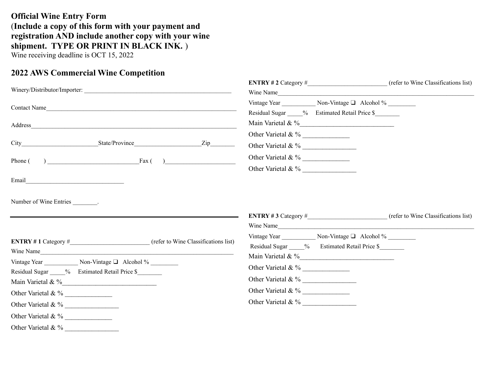## **Official Wine Entry Form** (**Include a copy of this form with your payment and registration AND include another copy with your wine shipment. TYPE OR PRINT IN BLACK INK.** ) Wine receiving deadline is OCT 15, 2022

## **2022 AWS Commercial Wine Competition**

| Winery/Distributor/Importer:                                                                                                                                                                                                        | Wine Name                                                                          |  |  |
|-------------------------------------------------------------------------------------------------------------------------------------------------------------------------------------------------------------------------------------|------------------------------------------------------------------------------------|--|--|
| Contact Name                                                                                                                                                                                                                        | Vintage Year Non-Vintage □ Alcohol %<br>Residual Sugar % Estimated Retail Price \$ |  |  |
| Address and the contract of the contract of the contract of the contract of the contract of the contract of the contract of the contract of the contract of the contract of the contract of the contract of the contract of th      | Main Varietal & %                                                                  |  |  |
| $\frac{Zip}{ }$                                                                                                                                                                                                                     | Other Varietal & %                                                                 |  |  |
| Phone $( )$ Eax $( )$                                                                                                                                                                                                               | Other Varietal & %<br>Other Varietal & %                                           |  |  |
| Email <u>Denominal</u> Communication and Communication and Communication and Communication and Communication and Communication and Communication and Communication and Communication and Communication and Communication and Commun |                                                                                    |  |  |
| Number of Wine Entries ________.                                                                                                                                                                                                    |                                                                                    |  |  |
| ENTRY # 1 Category # (refer to Wine Classifications list)<br>Wine Name                                                                                                                                                              | Wine Name<br>Residual Sugar % Estimated Retail Price \$                            |  |  |
| Residual Sugar % Estimated Retail Price \$                                                                                                                                                                                          | Other Varietal & %<br>Other Varietal & %                                           |  |  |
| Main Varietal & %                                                                                                                                                                                                                   |                                                                                    |  |  |
| Other Varietal & %                                                                                                                                                                                                                  |                                                                                    |  |  |
| Other Varietal & %                                                                                                                                                                                                                  | Other Varietal & %                                                                 |  |  |
|                                                                                                                                                                                                                                     |                                                                                    |  |  |
| Other Varietal & %                                                                                                                                                                                                                  |                                                                                    |  |  |